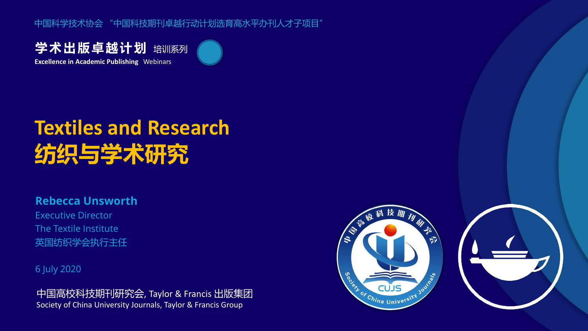中国科学技术协会 "中国科技期刊卓越行动计划选育高水平办刊人才子项目"

学术出版卓越计划 培训系列 **Excellence in Academic Publishing** Webinars



# **Textiles and Research 纺织与学术研究**

#### **Rebecca Unsworth**

Executive Director The Textile Institute 英国纺织学会执行主任

6 July 2020

中国高校科技期刊研究会, Taylor & Francis 出版集团 Society of China University Journals, Taylor & Francis Group

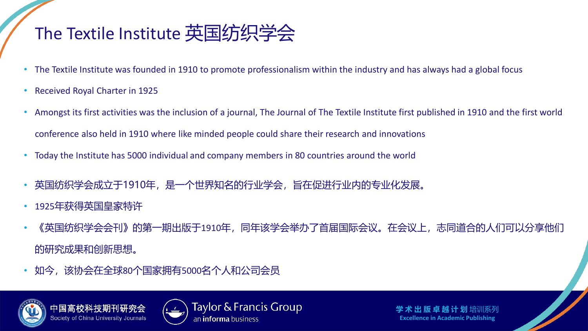#### The Textile Institute 英国纺织学会

- The Textile Institute was founded in 1910 to promote professionalism within the industry and has always had a global focus
- Received Royal Charter in 1925
- Amongst its first activities was the inclusion of a journal, The Journal of The Textile Institute first published in 1910 and the first world conference also held in 1910 where like minded people could share their research and innovations
- Today the Institute has 5000 individual and company members in 80 countries around the world
- 英国纺织学会成立于1910年,是一个世界知名的行业学会,旨在促进行业内的专业化发展。
- 1925年获得英国皇家特许
- 《英国纺织学会会刊》的第一期出版于1910年,同年该学会举办了首届国际会议。在会议上,志同道合的人们可以分享他们 的研究成果和创新思想。
- 如今,该协会在全球80个国家拥有5000名个人和公司会员



中国高校科技 Society of China University Journals



Taylor & Francis Group an **informa** business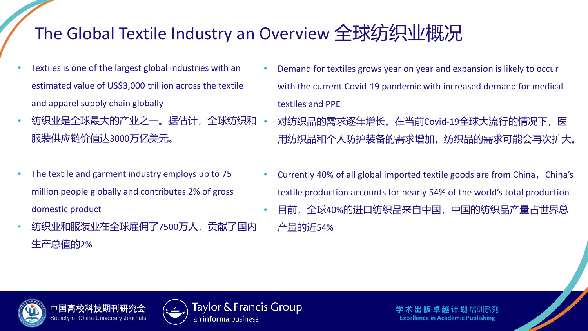### The Global Textile Industry an Overview 全球纺织业概况

- Textiles is one of the largest global industries with an estimated value of US\$3,000 trillion across the textile and apparel supply chain globally
- 纺织业是全球最大的产业之一。据估计, 全球纺织和 服装供应链价值达3000万亿美元。
- The textile and garment industry employs up to 75 million people globally and contributes 2% of gross domestic product
- 纺织业和服装业在全球雇佣了7500万人,贡献了国内 生产总值的2%
- Demand for textiles grows year on year and expansion is likely to occur with the current Covid-19 pandemic with increased demand for medical textiles and PPE
- 对纺织品的需求逐年增长。在当前Covid-19全球大流行的情况下,医 用纺织品和个人防护装备的需求增加,纺织品的需求可能会再次扩大。
- Currently 40% of all global imported textile goods are from China,China's textile production accounts for nearly 54% of the world's total production
- 目前,全球40%的进口纺织品来自中国,中国的纺织品产量占世界总 产量的近54%



中国高校科 Society of China University Journals



Taylor & Francis Group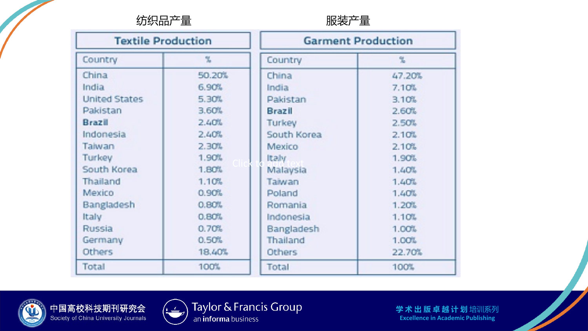纺织品产量

| <b>Textile Production</b> |        |               | <b>Garment Production</b> |  |
|---------------------------|--------|---------------|---------------------------|--|
| Country                   | 鬼      | Country       | ‰                         |  |
| China                     | 50.20% | China         | 47.20%                    |  |
| India                     | 6.90%  | India         | 7.10%                     |  |
| <b>United States</b>      | 5.30%  | Pakistan      | 3.10%                     |  |
| Pakistan                  | 3.60%  | Brazil        | 2.60%                     |  |
| Brazil                    | 2.40%  | Turkey        | 2.50%                     |  |
| Indonesia                 | 2.40%  | South Korea   | 2.10%                     |  |
| Taiwan                    | 2.30%  | <b>Mexico</b> | 2.10%                     |  |
| Turkey                    | 1.90%  | Italy         | <b>1.90%</b>              |  |
| South Korea               | 1,80%  | Malaysia      | 1.40%                     |  |
| Thailand                  | 1.10%  | Taiwan        | 1.40%                     |  |
| Mexico                    | 0.90%  | Poland        | 1.40%                     |  |
| Bangladesh                | 0.80%  | Romania       | 1.20%                     |  |
| Italy                     | 0.80%  | Indonesia     | 1.10%                     |  |
| Russia                    | 0.70%  | Bangladesh    | 1.00%                     |  |
| Germany                   | 0.50%  | Thailand      | 1.00%                     |  |
| <b>Others</b>             | 18,40% | <b>Others</b> | 22.70%                    |  |
| Total                     | 100%   | Total         | 100%                      |  |



中国高校科技期刊研究会<br>Society of China University Journals



Taylor & Francis Group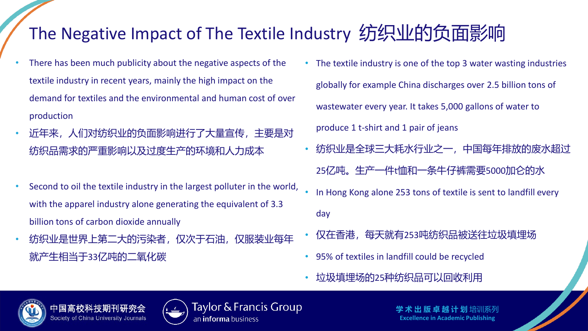## The Negative Impact of The Textile Industry 纺织业的负面影响

- There has been much publicity about the negative aspects of the textile industry in recent years, mainly the high impact on the demand for textiles and the environmental and human cost of over production
- 近年来, 人们对纺织业的负面影响进行了大量宣传, 主要是对 纺织品需求的严重影响以及过度生产的环境和人力成本
- Second to oil the textile industry in the largest polluter in the world, with the apparel industry alone generating the equivalent of 3.3 billion tons of carbon dioxide annually
- 纺织业是世界上第二大的污染者,仅次于石油,仅服装业每年 就产生相当于33亿吨的二氧化碳
- The textile industry is one of the top 3 water wasting industries globally for example China discharges over 2.5 billion tons of wastewater every year. It takes 5,000 gallons of water to produce 1 t-shirt and 1 pair of jeans • 纺织业是全球三大耗水行业之一,中国每年排放的废水超过 25亿吨。生产一件t恤和一条牛仔裤需要5000加仑的水
- In Hong Kong alone 253 tons of textile is sent to landfill every day
- 仅在香港,每天就有253吨纺织品被送往垃圾填埋场
- 95% of textiles in landfill could be recycled
- 垃圾填埋场的25种纺织品可以回收利用



中国高校科 Society of China University Journals



Taylor & Francis Group an **informa** business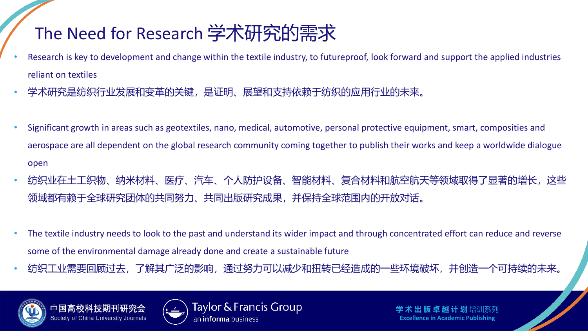#### The Need for Research 学术研究的需求

- Research is key to development and change within the textile industry, to futureproof, look forward and support the applied industries reliant on textiles
- 学术研究是纺织行业发展和变革的关键,是证明、展望和支持依赖于纺织的应用行业的未来。
- Significant growth in areas such as geotextiles, nano, medical, automotive, personal protective equipment, smart, composities and aerospace are all dependent on the global research community coming together to publish their works and keep a worldwide dialogue open
- 纺织业在土工织物、纳米材料、医疗、汽车、个人防护设备、智能材料、复合材料和航空航天等领域取得了显著的增长,这些 领域都有赖于全球研究团体的共同努力、共同出版研究成果,并保持全球范围内的开放对话。
- The textile industry needs to look to the past and understand its wider impact and through concentrated effort can reduce and reverse some of the environmental damage already done and create a sustainable future
- 纺织工业需要回顾过去, 了解其广泛的影响, 通过努力可以减少和扭转已经造成的一些环境破坏, 并创造一个可持续的未来,



中国高校科 Society of China University Journals



Taylor & Francis Group an **informa** business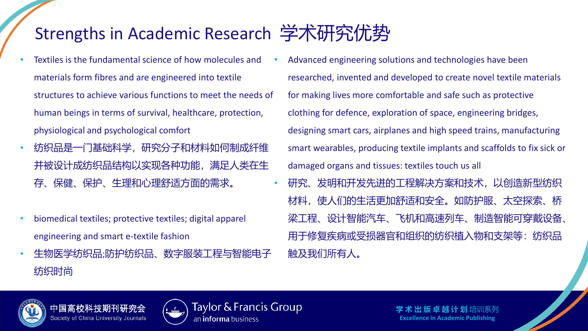#### Strengths in Academic Research 学术研究优势

- Textiles is the fundamental science of how molecules and materials form fibres and are engineered into textile structures to achieve various functions to meet the needs of human beings in terms of survival, healthcare, protection, physiological and psychological comfort
- 纺织品是一门基础科学,研究分子和材料如何制成纤维 并被设计成纺织品结构以实现各种功能,满足人类在生 存、保健、保护、生理和心理舒适方面的需求。
- biomedical textiles; protective textiles; digital apparel engineering and smart e-textile fashion
- 生物医学纺织品;防护纺织品、数字服装工程与智能电子 纺织时尚
- Advanced engineering solutions and technologies have been researched, invented and developed to create novel textile materials for making lives more comfortable and safe such as protective clothing for defence, exploration of space, engineering bridges, designing smart cars, airplanes and high speed trains, manufacturing smart wearables, producing textile implants and scaffolds to fix sick or damaged organs and tissues: textiles touch us all
- 研究、发明和开发先进的工程解决方案和技术,以创造新型纺织 材料,使人们的生活更加舒适和安全。如防护服、太空探索、 梁工程、设计智能汽车、飞机和高速列车、制造智能可穿戴设备、 用于修复疾病或受损器官和组织的纺织植入物和支架等:纺织品 触及我们所有人。



Society of China University Journals



Taylor & Francis Group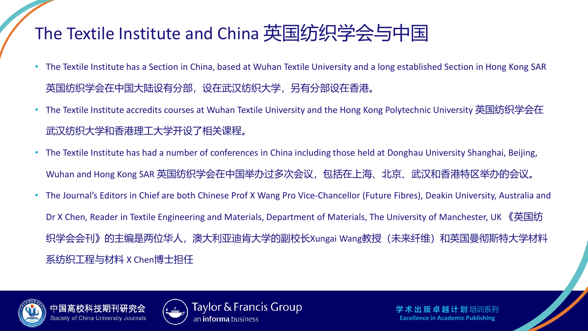### The Textile Institute and China 英国纺织学会与中国

- The Textile Institute has a Section in China, based at Wuhan Textile University and a long established Section in Hong Kong SAR 英国纺织学会在中国大陆设有分部,设在武汉纺织大学,另有分部设在香港。
- The Textile Institute accredits courses at Wuhan Textile University and the Hong Kong Polytechnic University 英国纺织学会在 武汉纺织大学和香港理工大学开设了相关课程。
- The Textile Institute has had a number of conferences in China including those held at Donghau University Shanghai, Beijing, Wuhan and Hong Kong SAR 英国纺织学会在中国举办过多次会议,包括在上海、北京、武汉和香港特区举办的会议。
- The Journal's Editors in Chief are both Chinese Prof X Wang Pro Vice-Chancellor (Future Fibres), Deakin University, Australia and Dr X Chen, Reader in Textile Engineering and Materials, Department of Materials, The University of Manchester, UK 《英国纺 织学会会刊》的主编是两位华人,澳大利亚迪肯大学的副校长Xungai Wang教授(未来纤维)和英国曼彻斯特大学材料 系纺织工程与材料 X Chen博士担任





Taylor & Francis Group an **informa** business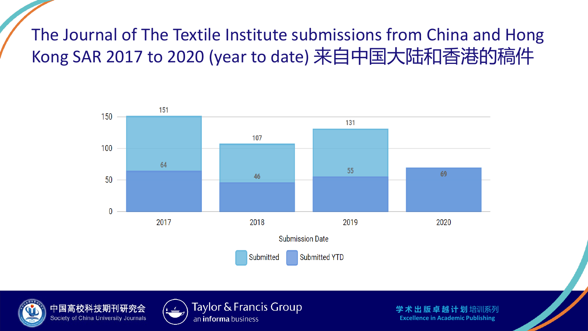#### The Journal of The Textile Institute submissions from China and Hong Kong SAR 2017 to 2020 (year to date) 来自中国大陆和香港的稿件







Taylor & Francis Group an *informa* business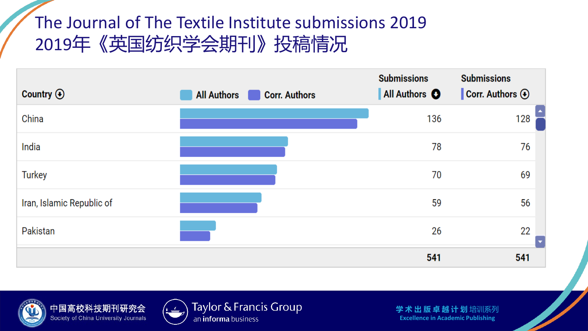#### The Journal of The Textile Institute submissions 2019 2019年《英国纺织学会期刊》投稿情况

| Country $\odot$           | <b>Corr. Authors</b><br><b>All Authors</b> | <b>Submissions</b><br>All Authors O | <b>Submissions</b><br>Corr. Authors $\odot$ |
|---------------------------|--------------------------------------------|-------------------------------------|---------------------------------------------|
| China                     |                                            | 136                                 | 128                                         |
| India                     |                                            | 78                                  | 76                                          |
| <b>Turkey</b>             |                                            | 70                                  | 69                                          |
| Iran, Islamic Republic of |                                            | 59                                  | 56                                          |
| Pakistan                  |                                            | 26                                  | 22<br>$\overline{\phantom{a}}$              |
|                           |                                            | 541                                 | 541                                         |



中国高校科技期刊研究会 Society of China University Journals



Taylor & Francis Group an informa business